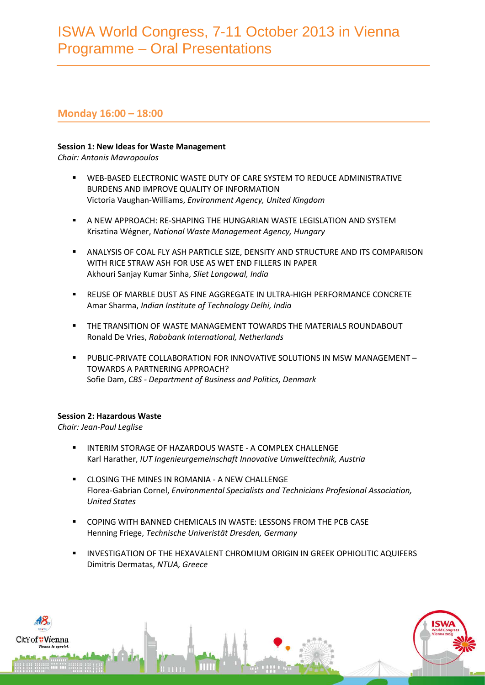## **Monday 16:00 – 18:00**

### **Session 1: New Ideas for Waste Management**

*Chair: Antonis Mavropoulos*

- WEB-BASED ELECTRONIC WASTE DUTY OF CARE SYSTEM TO REDUCE ADMINISTRATIVE BURDENS AND IMPROVE QUALITY OF INFORMATION Victoria Vaughan-Williams, *Environment Agency, United Kingdom*
- A NEW APPROACH: RE-SHAPING THE HUNGARIAN WASTE LEGISLATION AND SYSTEM Krisztina Wégner, *National Waste Management Agency, Hungary*
- ANALYSIS OF COAL FLY ASH PARTICLE SIZE, DENSITY AND STRUCTURE AND ITS COMPARISON WITH RICE STRAW ASH FOR USE AS WET END FILLERS IN PAPER Akhouri Sanjay Kumar Sinha, *Sliet Longowal, India*
- REUSE OF MARBLE DUST AS FINE AGGREGATE IN ULTRA-HIGH PERFORMANCE CONCRETE Amar Sharma, *Indian Institute of Technology Delhi, India*
- THE TRANSITION OF WASTE MANAGEMENT TOWARDS THE MATERIALS ROUNDABOUT Ronald De Vries, *Rabobank International, Netherlands*
- PUBLIC-PRIVATE COLLABORATION FOR INNOVATIVE SOLUTIONS IN MSW MANAGEMENT TOWARDS A PARTNERING APPROACH? Sofie Dam, *CBS - Department of Business and Politics, Denmark*

### **Session 2: Hazardous Waste**

*Chair: Jean-Paul Leglise*

- INTERIM STORAGE OF HAZARDOUS WASTE A COMPLEX CHALLENGE Karl Harather, *IUT Ingenieurgemeinschaft Innovative Umwelttechnik, Austria*
- **EXECUCING THE MINES IN ROMANIA A NEW CHALLENGE** Florea-Gabrian Cornel, *Environmental Specialists and Technicians Profesional Association, United States*
- COPING WITH BANNED CHEMICALS IN WASTE: LESSONS FROM THE PCB CASE Henning Friege, *Technische Univeristät Dresden, Germany*
- INVESTIGATION OF THE HEXAVALENT CHROMIUM ORIGIN IN GREEK OPHIOLITIC AQUIFERS Dimitris Dermatas, *NTUA, Greece*

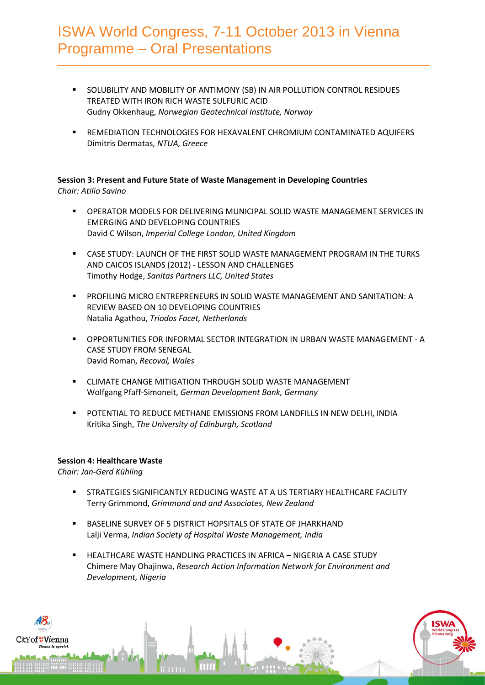- SOLUBILITY AND MOBILITY OF ANTIMONY (SB) IN AIR POLLUTION CONTROL RESIDUES TREATED WITH IRON RICH WASTE SULFURIC ACID Gudny Okkenhaug, *Norwegian Geotechnical Institute, Norway*
- REMEDIATION TECHNOLOGIES FOR HEXAVALENT CHROMIUM CONTAMINATED AQUIFERS Dimitris Dermatas, *NTUA, Greece*

# **Session 3: Present and Future State of Waste Management in Developing Countries**

*Chair: Atilio Savino*

- OPERATOR MODELS FOR DELIVERING MUNICIPAL SOLID WASTE MANAGEMENT SERVICES IN EMERGING AND DEVELOPING COUNTRIES David C Wilson, *Imperial College London, United Kingdom*
- CASE STUDY: LAUNCH OF THE FIRST SOLID WASTE MANAGEMENT PROGRAM IN THE TURKS AND CAICOS ISLANDS (2012) - LESSON AND CHALLENGES Timothy Hodge, *Sanitas Partners LLC, United States*
- PROFILING MICRO ENTREPRENEURS IN SOLID WASTE MANAGEMENT AND SANITATION: A REVIEW BASED ON 10 DEVELOPING COUNTRIES Natalia Agathou, *Triodos Facet, Netherlands*
- OPPORTUNITIES FOR INFORMAL SECTOR INTEGRATION IN URBAN WASTE MANAGEMENT A CASE STUDY FROM SENEGAL David Roman, *Recoval, Wales*
- CLIMATE CHANGE MITIGATION THROUGH SOLID WASTE MANAGEMENT Wolfgang Pfaff-Simoneit, *German Development Bank, Germany*
- POTENTIAL TO REDUCE METHANE EMISSIONS FROM LANDFILLS IN NEW DELHI, INDIA Kritika Singh, *The University of Edinburgh, Scotland*

## **Session 4: Healthcare Waste**

*Chair: Jan-Gerd Kühling*

- STRATEGIES SIGNIFICANTLY REDUCING WASTE AT A US TERTIARY HEALTHCARE FACILITY Terry Grimmond, *Grimmond and and Associates, New Zealand*
- **BASELINE SURVEY OF 5 DISTRICT HOPSITALS OF STATE OF JHARKHAND** Lalji Verma, *Indian Society of Hospital Waste Management, India*
- HEALTHCARE WASTE HANDLING PRACTICES IN AFRICA NIGERIA A CASE STUDY Chimere May Ohajinwa, *Research Action Information Network for Environment and Development, Nigeria*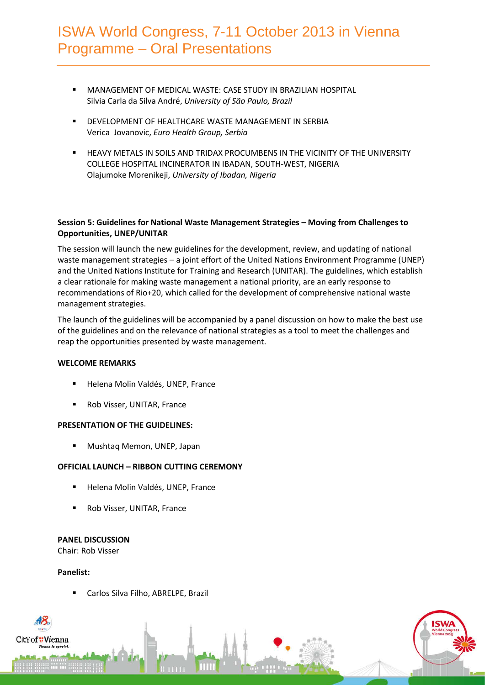- MANAGEMENT OF MEDICAL WASTE: CASE STUDY IN BRAZILIAN HOSPITAL Silvia Carla da Silva André, *University of São Paulo, Brazil*
- **DEVELOPMENT OF HEALTHCARE WASTE MANAGEMENT IN SERBIA** Verica Jovanovic, *Euro Health Group, Serbia*
- HEAVY METALS IN SOILS AND TRIDAX PROCUMBENS IN THE VICINITY OF THE UNIVERSITY COLLEGE HOSPITAL INCINERATOR IN IBADAN, SOUTH-WEST, NIGERIA Olajumoke Morenikeji, *University of Ibadan, Nigeria*

### **Session 5: Guidelines for National Waste Management Strategies – Moving from Challenges to Opportunities, UNEP/UNITAR**

The session will launch the new guidelines for the development, review, and updating of national waste management strategies – a joint effort of the United Nations Environment Programme (UNEP) and the United Nations Institute for Training and Research (UNITAR). The guidelines, which establish a clear rationale for making waste management a national priority, are an early response to recommendations of Rio+20, which called for the development of comprehensive national waste management strategies.

The launch of the guidelines will be accompanied by a panel discussion on how to make the best use of the guidelines and on the relevance of national strategies as a tool to meet the challenges and reap the opportunities presented by waste management.

#### **WELCOME REMARKS**

- Helena Molin Valdés, UNEP, France
- Rob Visser, UNITAR, France

#### **PRESENTATION OF THE GUIDELINES:**

**Mushtaq Memon, UNEP, Japan** 

## **OFFICIAL LAUNCH – RIBBON CUTTING CEREMONY**

- Helena Molin Valdés, UNEP, France
- Rob Visser, UNITAR, France

#### **PANEL DISCUSSION**

Chair: Rob Visser

#### **Panelist:**

itYof <mark>"Vien</mark>na

Carlos Silva Filho, ABRELPE, Brazil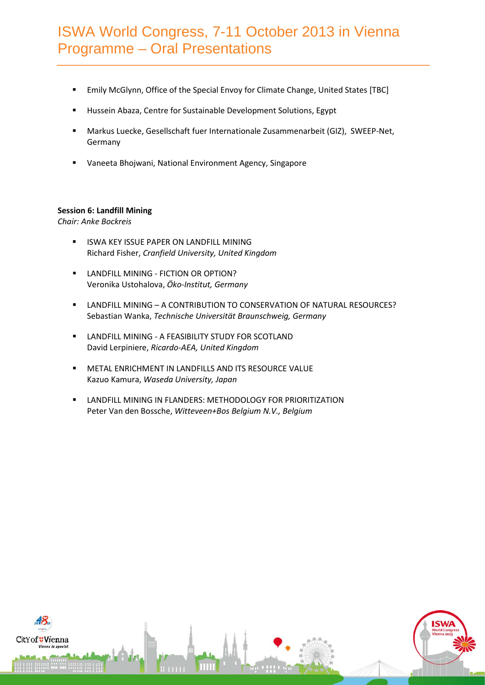- Emily McGlynn, Office of the Special Envoy for Climate Change, United States [TBC]
- **Hussein Abaza, Centre for Sustainable Development Solutions, Egypt**
- Markus Luecke, Gesellschaft fuer Internationale Zusammenarbeit (GIZ), SWEEP-Net, Germany
- Vaneeta Bhojwani, National Environment Agency, Singapore

### **Session 6: Landfill Mining**

*Chair: Anke Bockreis*

- **INGLEY ISSUE PAPER ON LANDFILL MINING** Richard Fisher, *Cranfield University, United Kingdom*
- **LANDFILL MINING FICTION OR OPTION?** Veronika Ustohalova, *Öko-Institut, Germany*
- LANDFILL MINING A CONTRIBUTION TO CONSERVATION OF NATURAL RESOURCES? Sebastian Wanka, *Technische Universität Braunschweig, Germany*
- **E** LANDFILL MINING A FEASIBILITY STUDY FOR SCOTLAND David Lerpiniere, *Ricardo-AEA, United Kingdom*
- METAL ENRICHMENT IN LANDFILLS AND ITS RESOURCE VALUE Kazuo Kamura, *Waseda University, Japan*
- **E** LANDFILL MINING IN FLANDERS: METHODOLOGY FOR PRIORITIZATION Peter Van den Bossche, *Witteveen+Bos Belgium N.V., Belgium*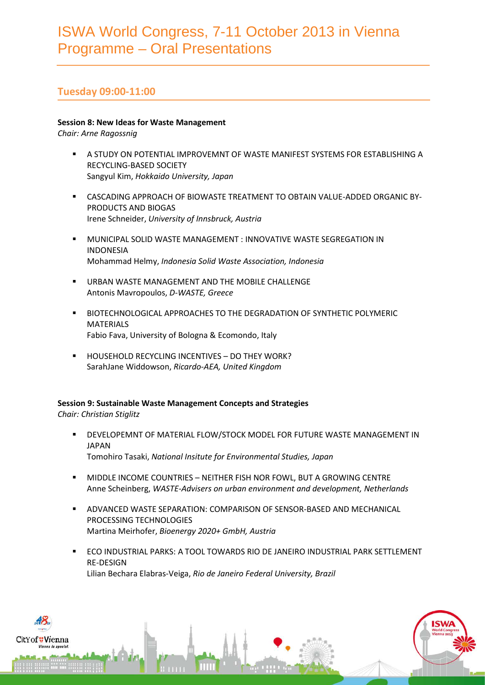# **Tuesday 09:00-11:00**

## **Session 8: New Ideas for Waste Management**

*Chair: Arne Ragossnig*

- A STUDY ON POTENTIAL IMPROVEMNT OF WASTE MANIFEST SYSTEMS FOR ESTABLISHING A RECYCLING-BASED SOCIETY Sangyul Kim, *Hokkaido University, Japan*
- CASCADING APPROACH OF BIOWASTE TREATMENT TO OBTAIN VALUE-ADDED ORGANIC BY-PRODUCTS AND BIOGAS Irene Schneider, *University of Innsbruck, Austria*
- MUNICIPAL SOLID WASTE MANAGEMENT : INNOVATIVE WASTE SEGREGATION IN INDONESIA Mohammad Helmy, *Indonesia Solid Waste Association, Indonesia*
- URBAN WASTE MANAGEMENT AND THE MOBILE CHALLENGE Antonis Mavropoulos, *D-WASTE, Greece*
- BIOTECHNOLOGICAL APPROACHES TO THE DEGRADATION OF SYNTHETIC POLYMERIC MATERIALS Fabio Fava, University of Bologna & Ecomondo, Italy
- HOUSEHOLD RECYCLING INCENTIVES DO THEY WORK? SarahJane Widdowson, *Ricardo-AEA, United Kingdom*

## **Session 9: Sustainable Waste Management Concepts and Strategies**

*Chair: Christian Stiglitz*

- DEVELOPEMNT OF MATERIAL FLOW/STOCK MODEL FOR FUTURE WASTE MANAGEMENT IN JAPAN Tomohiro Tasaki, *National Insitute for Environmental Studies, Japan*
- MIDDLE INCOME COUNTRIES NEITHER FISH NOR FOWL, BUT A GROWING CENTRE Anne Scheinberg, *WASTE-Advisers on urban environment and development, Netherlands*
- ADVANCED WASTE SEPARATION: COMPARISON OF SENSOR-BASED AND MECHANICAL PROCESSING TECHNOLOGIES Martina Meirhofer, *Bioenergy 2020+ GmbH, Austria*
- ECO INDUSTRIAL PARKS: A TOOL TOWARDS RIO DE JANEIRO INDUSTRIAL PARK SETTLEMENT RE-DESIGN Lilian Bechara Elabras-Veiga, *Rio de Janeiro Federal University, Brazil*

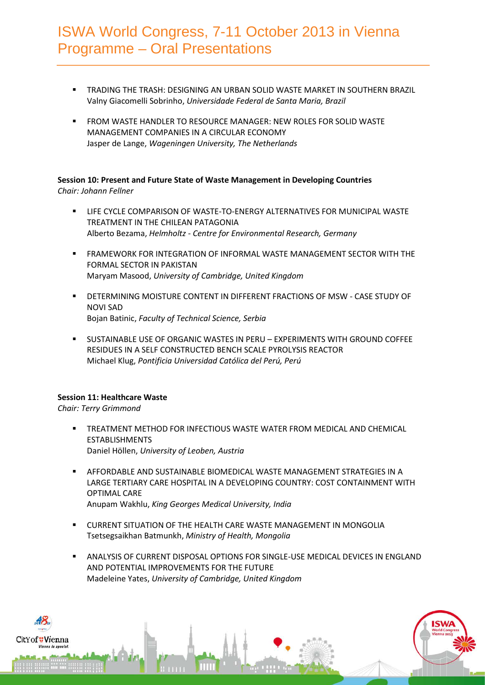- TRADING THE TRASH: DESIGNING AN URBAN SOLID WASTE MARKET IN SOUTHERN BRAZIL Valny Giacomelli Sobrinho, *Universidade Federal de Santa Maria, Brazil*
- FROM WASTE HANDLER TO RESOURCE MANAGER: NEW ROLES FOR SOLID WASTE MANAGEMENT COMPANIES IN A CIRCULAR ECONOMY Jasper de Lange, *Wageningen University, The Netherlands*

## **Session 10: Present and Future State of Waste Management in Developing Countries** *Chair: Johann Fellner*

- LIFE CYCLE COMPARISON OF WASTE-TO-ENERGY ALTERNATIVES FOR MUNICIPAL WASTE TREATMENT IN THE CHILEAN PATAGONIA Alberto Bezama, *Helmholtz - Centre for Environmental Research, Germany*
- FRAMEWORK FOR INTEGRATION OF INFORMAL WASTE MANAGEMENT SECTOR WITH THE FORMAL SECTOR IN PAKISTAN Maryam Masood, *University of Cambridge, United Kingdom*
- DETERMINING MOISTURE CONTENT IN DIFFERENT FRACTIONS OF MSW CASE STUDY OF NOVI SAD Bojan Batinic, *Faculty of Technical Science, Serbia*
- SUSTAINABLE USE OF ORGANIC WASTES IN PERU EXPERIMENTS WITH GROUND COFFEE RESIDUES IN A SELF CONSTRUCTED BENCH SCALE PYROLYSIS REACTOR Michael Klug, *Pontificia Universidad Católica del Perú, Perú*

## **Session 11: Healthcare Waste**

*Chair: Terry Grimmond*

- TREATMENT METHOD FOR INFECTIOUS WASTE WATER FROM MEDICAL AND CHEMICAL ESTABLISHMENTS Daniel Höllen, *University of Leoben, Austria*
- AFFORDABLE AND SUSTAINABLE BIOMEDICAL WASTE MANAGEMENT STRATEGIES IN A LARGE TERTIARY CARE HOSPITAL IN A DEVELOPING COUNTRY: COST CONTAINMENT WITH OPTIMAL CARE Anupam Wakhlu, *King Georges Medical University, India*
- CURRENT SITUATION OF THE HEALTH CARE WASTE MANAGEMENT IN MONGOLIA Tsetsegsaikhan Batmunkh, *Ministry of Health, Mongolia*
- ANALYSIS OF CURRENT DISPOSAL OPTIONS FOR SINGLE-USE MEDICAL DEVICES IN ENGLAND AND POTENTIAL IMPROVEMENTS FOR THE FUTURE Madeleine Yates, *University of Cambridge, United Kingdom*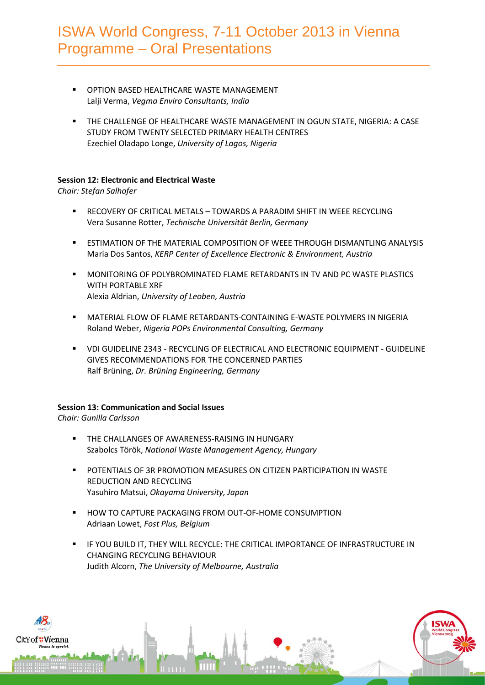- OPTION BASED HEALTHCARE WASTE MANAGEMENT Lalji Verma, *Vegma Enviro Consultants, India*
- THE CHALLENGE OF HEALTHCARE WASTE MANAGEMENT IN OGUN STATE, NIGERIA: A CASE STUDY FROM TWENTY SELECTED PRIMARY HEALTH CENTRES Ezechiel Oladapo Longe, *University of Lagos, Nigeria*

## **Session 12: Electronic and Electrical Waste**

*Chair: Stefan Salhofer*

- RECOVERY OF CRITICAL METALS TOWARDS A PARADIM SHIFT IN WEEE RECYCLING Vera Susanne Rotter, *Technische Universität Berlin, Germany*
- **EXTIMATION OF THE MATERIAL COMPOSITION OF WEEF THROUGH DISMANTLING ANALYSIS** Maria Dos Santos, *KERP Center of Excellence Electronic & Environment, Austria*
- MONITORING OF POLYBROMINATED FLAME RETARDANTS IN TV AND PC WASTE PLASTICS WITH PORTABLE XRF Alexia Aldrian, *University of Leoben, Austria*
- MATERIAL FLOW OF FLAME RETARDANTS-CONTAINING E-WASTE POLYMERS IN NIGERIA Roland Weber, *Nigeria POPs Environmental Consulting, Germany*
- VDI GUIDELINE 2343 RECYCLING OF ELECTRICAL AND ELECTRONIC EQUIPMENT GUIDELINE GIVES RECOMMENDATIONS FOR THE CONCERNED PARTIES Ralf Brüning, *Dr. Brüning Engineering, Germany*

## **Session 13: Communication and Social Issues**

*Chair: Gunilla Carlsson*

- THE CHALLANGES OF AWARENESS-RAISING IN HUNGARY Szabolcs Török, *National Waste Management Agency, Hungary*
- POTENTIALS OF 3R PROMOTION MEASURES ON CITIZEN PARTICIPATION IN WASTE REDUCTION AND RECYCLING Yasuhiro Matsui, *Okayama University, Japan*
- HOW TO CAPTURE PACKAGING FROM OUT-OF-HOME CONSUMPTION Adriaan Lowet, *Fost Plus, Belgium*
- IF YOU BUILD IT, THEY WILL RECYCLE: THE CRITICAL IMPORTANCE OF INFRASTRUCTURE IN CHANGING RECYCLING BEHAVIOUR Judith Alcorn, *The University of Melbourne, Australia*

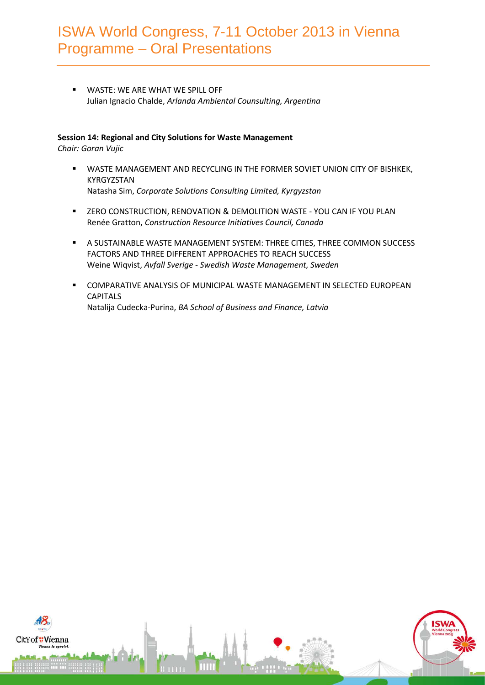WASTE: WE ARE WHAT WE SPILL OFF Julian Ignacio Chalde, *Arlanda Ambiental Counsulting, Argentina*

## **Session 14: Regional and City Solutions for Waste Management**

*Chair: Goran Vujic*

- WASTE MANAGEMENT AND RECYCLING IN THE FORMER SOVIET UNION CITY OF BISHKEK, KYRGYZSTAN Natasha Sim, *Corporate Solutions Consulting Limited, Kyrgyzstan*
- **EXEGO CONSTRUCTION, RENOVATION & DEMOLITION WASTE YOU CAN IF YOU PLAN** Renée Gratton, *Construction Resource Initiatives Council, Canada*
- A SUSTAINABLE WASTE MANAGEMENT SYSTEM: THREE CITIES, THREE COMMON SUCCESS FACTORS AND THREE DIFFERENT APPROACHES TO REACH SUCCESS Weine Wiqvist, *Avfall Sverige - Swedish Waste Management, Sweden*
- COMPARATIVE ANALYSIS OF MUNICIPAL WASTE MANAGEMENT IN SELECTED EUROPEAN CAPITALS Natalija Cudecka-Purina, *BA School of Business and Finance, Latvia*

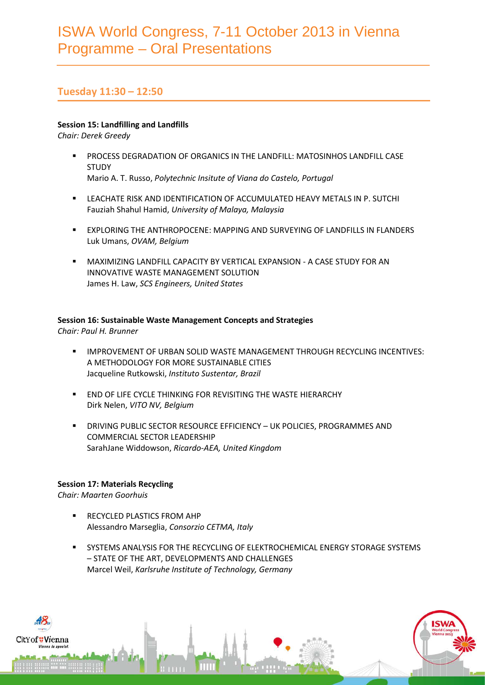# **Tuesday 11:30 – 12:50**

## **Session 15: Landfilling and Landfills**

*Chair: Derek Greedy*

- PROCESS DEGRADATION OF ORGANICS IN THE LANDFILL: MATOSINHOS LANDFILL CASE **STUDY** Mario A. T. Russo, *Polytechnic Insitute of Viana do Castelo, Portugal*
- LEACHATE RISK AND IDENTIFICATION OF ACCUMULATED HEAVY METALS IN P. SUTCHI Fauziah Shahul Hamid, *University of Malaya, Malaysia*
- EXPLORING THE ANTHROPOCENE: MAPPING AND SURVEYING OF LANDFILLS IN FLANDERS Luk Umans, *OVAM, Belgium*
- MAXIMIZING LANDFILL CAPACITY BY VERTICAL EXPANSION A CASE STUDY FOR AN INNOVATIVE WASTE MANAGEMENT SOLUTION James H. Law, *SCS Engineers, United States*

## **Session 16: Sustainable Waste Management Concepts and Strategies**

*Chair: Paul H. Brunner*

- IMPROVEMENT OF URBAN SOLID WASTE MANAGEMENT THROUGH RECYCLING INCENTIVES: A METHODOLOGY FOR MORE SUSTAINABLE CITIES Jacqueline Rutkowski, *Instituto Sustentar, Brazil*
- **END OF LIFE CYCLE THINKING FOR REVISITING THE WASTE HIERARCHY** Dirk Nelen, *VITO NV, Belgium*
- DRIVING PUBLIC SECTOR RESOURCE EFFICIENCY UK POLICIES, PROGRAMMES AND COMMERCIAL SECTOR LEADERSHIP SarahJane Widdowson, *Ricardo-AEA, United Kingdom*

## **Session 17: Materials Recycling**

*Chair: Maarten Goorhuis*

- **RECYCLED PLASTICS FROM AHP** Alessandro Marseglia, *Consorzio CETMA, Italy*
- SYSTEMS ANALYSIS FOR THE RECYCLING OF ELEKTROCHEMICAL ENERGY STORAGE SYSTEMS – STATE OF THE ART, DEVELOPMENTS AND CHALLENGES Marcel Weil, *Karlsruhe Institute of Technology, Germany*

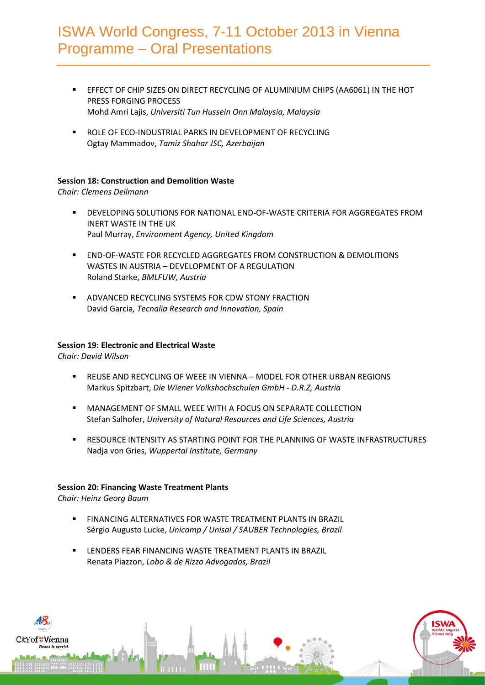- EFFECT OF CHIP SIZES ON DIRECT RECYCLING OF ALUMINIUM CHIPS (AA6061) IN THE HOT PRESS FORGING PROCESS Mohd Amri Lajis, *Universiti Tun Hussein Onn Malaysia, Malaysia*
- **ROLE OF ECO-INDUSTRIAL PARKS IN DEVELOPMENT OF RECYCLING** Ogtay Mammadov, *Tamiz Shahar JSC, Azerbaijan*

## **Session 18: Construction and Demolition Waste**

*Chair: Clemens Deilmann*

- DEVELOPING SOLUTIONS FOR NATIONAL END-OF-WASTE CRITERIA FOR AGGREGATES FROM INERT WASTE IN THE UK Paul Murray, *Environment Agency, United Kingdom*
- END-OF-WASTE FOR RECYCLED AGGREGATES FROM CONSTRUCTION & DEMOLITIONS WASTES IN AUSTRIA – DEVELOPMENT OF A REGULATION Roland Starke, *BMLFUW, Austria*
- ADVANCED RECYCLING SYSTEMS FOR CDW STONY FRACTION David Garcia*, Tecnalia Research and Innovation, Spain*

#### **Session 19: Electronic and Electrical Waste**

*Chair: David Wilson* 

- REUSE AND RECYCLING OF WEEE IN VIENNA MODEL FOR OTHER URBAN REGIONS Markus Spitzbart, *Die Wiener Volkshochschulen GmbH - D.R.Z, Austria*
- **MANAGEMENT OF SMALL WEEE WITH A FOCUS ON SEPARATE COLLECTION** Stefan Salhofer, *University of Natural Resources and Life Sciences, Austria*
- RESOURCE INTENSITY AS STARTING POINT FOR THE PLANNING OF WASTE INFRASTRUCTURES Nadja von Gries, *Wuppertal Institute, Germany*

#### **Session 20: Financing Waste Treatment Plants**

*Chair: Heinz Georg Baum*

- **FINANCING ALTERNATIVES FOR WASTE TREATMENT PLANTS IN BRAZIL** Sérgio Augusto Lucke, *Unicamp / Unisal / SAUBER Technologies, Brazil*
- LENDERS FEAR FINANCING WASTE TREATMENT PLANTS IN BRAZIL Renata Piazzon, *Lobo & de Rizzo Advogados, Brazil*

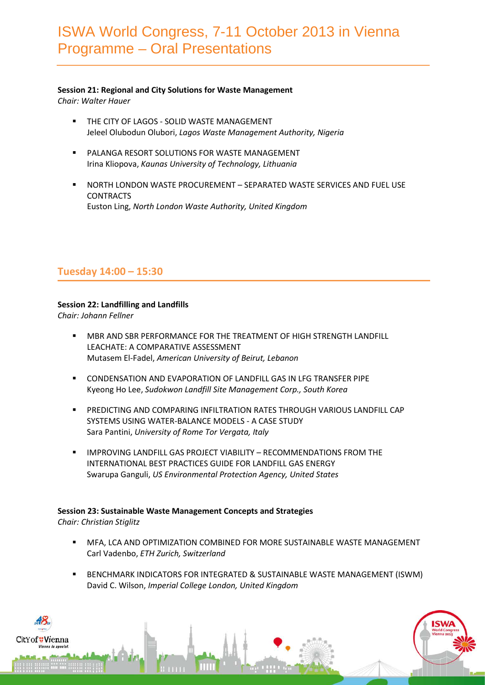## **Session 21: Regional and City Solutions for Waste Management**

*Chair: Walter Hauer*

- **THE CITY OF LAGOS SOLID WASTE MANAGEMENT** Jeleel Olubodun Olubori, *Lagos Waste Management Authority, Nigeria*
- **PALANGA RESORT SOLUTIONS FOR WASTE MANAGEMENT** Irina Kliopova, *Kaunas University of Technology, Lithuania*
- NORTH LONDON WASTE PROCUREMENT SEPARATED WASTE SERVICES AND FUEL USE **CONTRACTS** Euston Ling, *North London Waste Authority, United Kingdom*

# **Tuesday 14:00 – 15:30**

## **Session 22: Landfilling and Landfills**

*Chair: Johann Fellner*

- MBR AND SBR PERFORMANCE FOR THE TREATMENT OF HIGH STRENGTH LANDFILL LEACHATE: A COMPARATIVE ASSESSMENT Mutasem El-Fadel, *American University of Beirut, Lebanon*
- **EXECONDENSATION AND EVAPORATION OF LANDFILL GAS IN LFG TRANSFER PIPE** Kyeong Ho Lee, *Sudokwon Landfill Site Management Corp., South Korea*
- PREDICTING AND COMPARING INFILTRATION RATES THROUGH VARIOUS LANDFILL CAP SYSTEMS USING WATER-BALANCE MODELS - A CASE STUDY Sara Pantini, *University of Rome Tor Vergata, Italy*
- IMPROVING LANDFILL GAS PROJECT VIABILITY RECOMMENDATIONS FROM THE INTERNATIONAL BEST PRACTICES GUIDE FOR LANDFILL GAS ENERGY Swarupa Ganguli, *US Environmental Protection Agency, United States*

#### **Session 23: Sustainable Waste Management Concepts and Strategies** *Chair: Christian Stiglitz*

- MFA, LCA AND OPTIMIZATION COMBINED FOR MORE SUSTAINABLE WASTE MANAGEMENT Carl Vadenbo, *ETH Zurich, Switzerland*
- BENCHMARK INDICATORS FOR INTEGRATED & SUSTAINABLE WASTE MANAGEMENT (ISWM) David C. Wilson, *Imperial College London, United Kingdom*

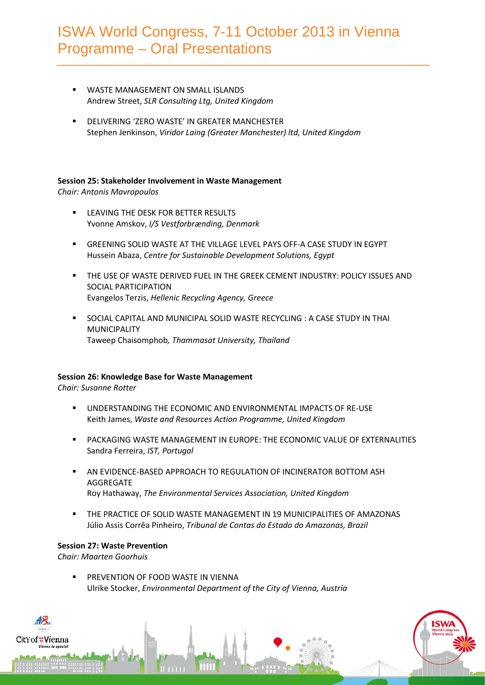- WASTE MANAGEMENT ON SMALL ISLANDS Andrew Street, *SLR Consulting Ltg, United Kingdom*
- **DELIVERING 'ZERO WASTE' IN GREATER MANCHESTER** Stephen Jenkinson, *Viridor Laing (Greater Manchester) ltd, United Kingdom*

### **Session 25: Stakeholder Involvement in Waste Management**

*Chair: Antonis Mavropoulos*

- **EXECUTIVE THE DESK FOR BETTER RESULTS** Yvonne Amskov, *I/S Vestforbrænding, Denmark*
- GREENING SOLID WASTE AT THE VILLAGE LEVEL PAYS OFF-A CASE STUDY IN EGYPT Hussein Abaza, *Centre for Sustainable Development Solutions, Egypt*
- THE USE OF WASTE DERIVED FUEL IN THE GREEK CEMENT INDUSTRY: POLICY ISSUES AND SOCIAL PARTICIPATION Evangelos Terzis, *Hellenic Recycling Agency, Greece*
- SOCIAL CAPITAL AND MUNICIPAL SOLID WASTE RECYCLING : A CASE STUDY IN THAI MUNICIPALITY Taweep Chaisomphob*, Thammasat University, Thailand*

## **Session 26: Knowledge Base for Waste Management**

*Chair: Susanne Rotter*

- UNDERSTANDING THE ECONOMIC AND ENVIRONMENTAL IMPACTS OF RE-USE Keith James, *Waste and Resources Action Programme, United Kingdom*
- PACKAGING WASTE MANAGEMENT IN EUROPE: THE ECONOMIC VALUE OF EXTERNALITIES Sandra Ferreira, *IST, Portugal*
- AN EVIDENCE-BASED APPROACH TO REGULATION OF INCINERATOR BOTTOM ASH AGGREGATE Roy Hathaway, *The Environmental Services Association, United Kingdom*
- THE PRACTICE OF SOLID WASTE MANAGEMENT IN 19 MUNICIPALITIES OF AMAZONAS Júlio Assis Corrêa Pinheiro, *Tribunal de Contas do Estado do Amazonas, Brazil*

#### **Session 27: Waste Prevention**

*Chair: Maarten Goorhuis*

tYof #Vienna

 PREVENTION OF FOOD WASTE IN VIENNA Ulrike Stocker, *Environmental Department of the City of Vienna, Austria*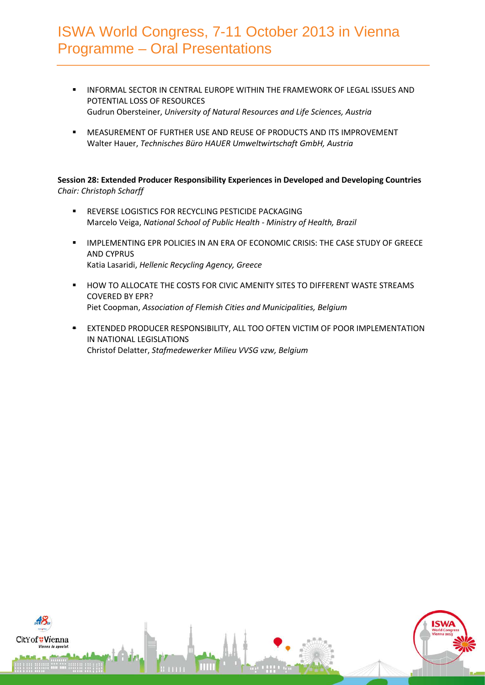- INFORMAL SECTOR IN CENTRAL EUROPE WITHIN THE FRAMEWORK OF LEGAL ISSUES AND POTENTIAL LOSS OF RESOURCES Gudrun Obersteiner, *University of Natural Resources and Life Sciences, Austria*
- MEASUREMENT OF FURTHER USE AND REUSE OF PRODUCTS AND ITS IMPROVEMENT Walter Hauer, *Technisches Büro HAUER Umweltwirtschaft GmbH, Austria*

**Session 28: Extended Producer Responsibility Experiences in Developed and Developing Countries** *Chair: Christoph Scharff* 

- **REVERSE LOGISTICS FOR RECYCLING PESTICIDE PACKAGING** Marcelo Veiga, *National School of Public Health - Ministry of Health, Brazil*
- **IMPLEMENTING EPR POLICIES IN AN ERA OF ECONOMIC CRISIS: THE CASE STUDY OF GREECE** AND CYPRUS Katia Lasaridi, *Hellenic Recycling Agency, Greece*
- HOW TO ALLOCATE THE COSTS FOR CIVIC AMENITY SITES TO DIFFERENT WASTE STREAMS COVERED BY EPR? Piet Coopman, *Association of Flemish Cities and Municipalities, Belgium*
- EXTENDED PRODUCER RESPONSIBILITY, ALL TOO OFTEN VICTIM OF POOR IMPLEMENTATION IN NATIONAL LEGISLATIONS Christof Delatter, *Stafmedewerker Milieu VVSG vzw, Belgium*

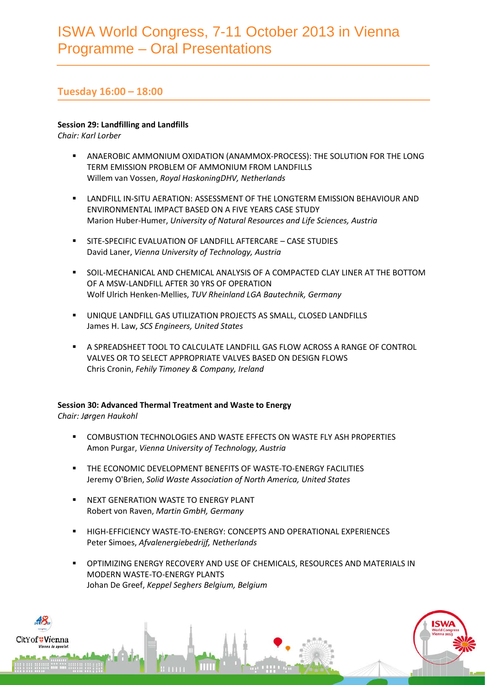# **Tuesday 16:00 – 18:00**

## **Session 29: Landfilling and Landfills**

*Chair: Karl Lorber*

- ANAEROBIC AMMONIUM OXIDATION (ANAMMOX-PROCESS): THE SOLUTION FOR THE LONG TERM EMISSION PROBLEM OF AMMONIUM FROM LANDFILLS Willem van Vossen, *Royal HaskoningDHV, Netherlands*
- LANDFILL IN-SITU AERATION: ASSESSMENT OF THE LONGTERM EMISSION BEHAVIOUR AND ENVIRONMENTAL IMPACT BASED ON A FIVE YEARS CASE STUDY Marion Huber-Humer, *University of Natural Resources and Life Sciences, Austria*
- SITE-SPECIFIC EVALUATION OF LANDFILL AFTERCARE CASE STUDIES David Laner, *Vienna University of Technology, Austria*
- SOIL-MECHANICAL AND CHEMICAL ANALYSIS OF A COMPACTED CLAY LINER AT THE BOTTOM OF A MSW-LANDFILL AFTER 30 YRS OF OPERATION Wolf Ulrich Henken-Mellies, *TUV Rheinland LGA Bautechnik, Germany*
- UNIQUE LANDFILL GAS UTILIZATION PROJECTS AS SMALL, CLOSED LANDFILLS James H. Law, *SCS Engineers, United States*
- A SPREADSHEET TOOL TO CALCULATE LANDFILL GAS FLOW ACROSS A RANGE OF CONTROL VALVES OR TO SELECT APPROPRIATE VALVES BASED ON DESIGN FLOWS Chris Cronin, *Fehily Timoney & Company, Ireland*

# **Session 30: Advanced Thermal Treatment and Waste to Energy**

*Chair: Jørgen Haukohl*

- **EXECUTES 10 TO A TECHNOLOGIES AND WASTE EFFECTS ON WASTE FLY ASH PROPERTIES** Amon Purgar, *Vienna University of Technology, Austria*
- **THE ECONOMIC DEVELOPMENT BENEFITS OF WASTE-TO-ENERGY FACILITIES** Jeremy O'Brien, *Solid Waste Association of North America, United States*
- **NEXT GENERATION WASTE TO ENERGY PLANT** Robert von Raven, *Martin GmbH, Germany*
- **HIGH-EFFICIENCY WASTE-TO-ENERGY: CONCEPTS AND OPERATIONAL EXPERIENCES** Peter Simoes, *Afvalenergiebedrijf, Netherlands*
- OPTIMIZING ENERGY RECOVERY AND USE OF CHEMICALS, RESOURCES AND MATERIALS IN MODERN WASTE-TO-ENERGY PLANTS Johan De Greef, *Keppel Seghers Belgium, Belgium*

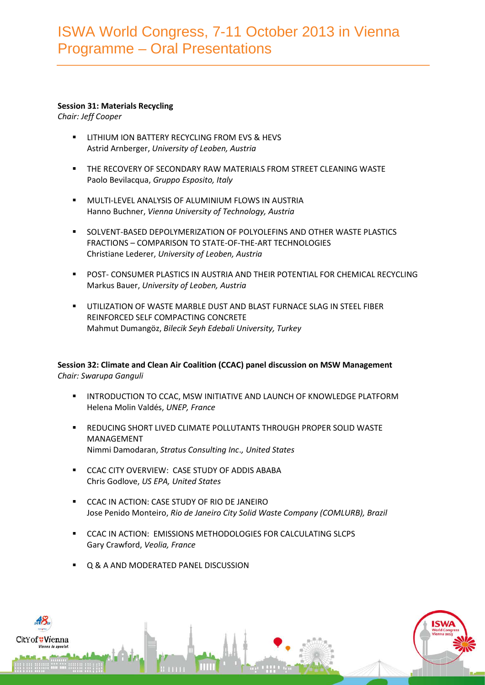### **Session 31: Materials Recycling**

*Chair: Jeff Cooper*

- LITHIUM ION BATTERY RECYCLING FROM EVS & HEVS Astrid Arnberger, *University of Leoben, Austria*
- THE RECOVERY OF SECONDARY RAW MATERIALS FROM STREET CLEANING WASTE Paolo Bevilacqua, *Gruppo Esposito, Italy*
- **NULTI-LEVEL ANALYSIS OF ALUMINIUM FLOWS IN AUSTRIA** Hanno Buchner, *Vienna University of Technology, Austria*
- **SOLVENT-BASED DEPOLYMERIZATION OF POLYOLEFINS AND OTHER WASTE PLASTICS** FRACTIONS – COMPARISON TO STATE-OF-THE-ART TECHNOLOGIES Christiane Lederer, *University of Leoben, Austria*
- POST- CONSUMER PLASTICS IN AUSTRIA AND THEIR POTENTIAL FOR CHEMICAL RECYCLING Markus Bauer, *University of Leoben, Austria*
- UTILIZATION OF WASTE MARBLE DUST AND BLAST FURNACE SLAG IN STEEL FIBER REINFORCED SELF COMPACTING CONCRETE Mahmut Dumangöz, *Bilecik Seyh Edebali University, Turkey*

## **Session 32: Climate and Clean Air Coalition (CCAC) panel discussion on MSW Management** *Chair: Swarupa Ganguli*

- **INTRODUCTION TO CCAC, MSW INITIATIVE AND LAUNCH OF KNOWLEDGE PLATFORM** Helena Molin Valdés, *UNEP, France*
- REDUCING SHORT LIVED CLIMATE POLLUTANTS THROUGH PROPER SOLID WASTE MANAGEMENT Nimmi Damodaran, *Stratus Consulting Inc*.*, United States*
- **CCAC CITY OVERVIEW: CASE STUDY OF ADDIS ABABA** Chris Godlove, *US EPA, United States*
- **CCAC IN ACTION: CASE STUDY OF RIO DE JANEIRO** Jose Penido Monteiro, *Rio de Janeiro City Solid Waste Company (COMLURB), Brazil*
- CCAC IN ACTION: EMISSIONS METHODOLOGIES FOR CALCULATING SLCPS Gary Crawford, *Veolia, France*
- Q & A AND MODERATED PANEL DISCUSSION

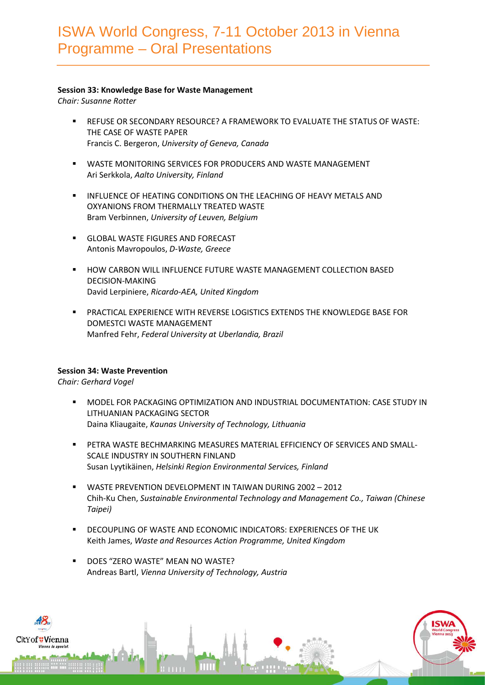### **Session 33: Knowledge Base for Waste Management**

*Chair: Susanne Rotter*

- REFUSE OR SECONDARY RESOURCE? A FRAMEWORK TO EVALUATE THE STATUS OF WASTE: THE CASE OF WASTE PAPER Francis C. Bergeron, *University of Geneva, Canada*
- WASTE MONITORING SERVICES FOR PRODUCERS AND WASTE MANAGEMENT Ari Serkkola, *Aalto University, Finland*
- **INFLUENCE OF HEATING CONDITIONS ON THE LEACHING OF HEAVY METALS AND** OXYANIONS FROM THERMALLY TREATED WASTE Bram Verbinnen, *University of Leuven, Belgium*
- GLOBAL WASTE FIGURES AND FORECAST Antonis Mavropoulos, *D-Waste, Greece*
- HOW CARBON WILL INFLUENCE FUTURE WASTE MANAGEMENT COLLECTION BASED DECISION-MAKING David Lerpiniere, *Ricardo-AEA, United Kingdom*
- PRACTICAL EXPERIENCE WITH REVERSE LOGISTICS EXTENDS THE KNOWLEDGE BASE FOR DOMESTCI WASTE MANAGEMENT Manfred Fehr, *Federal University at Uberlandia, Brazil*

## **Session 34: Waste Prevention**

*Chair: Gerhard Vogel*

- MODEL FOR PACKAGING OPTIMIZATION AND INDUSTRIAL DOCUMENTATION: CASE STUDY IN LITHUANIAN PACKAGING SECTOR Daina Kliaugaite, *Kaunas University of Technology, Lithuania*
- PETRA WASTE BECHMARKING MEASURES MATERIAL EFFICIENCY OF SERVICES AND SMALL-SCALE INDUSTRY IN SOUTHERN FINLAND Susan Lyytikäinen, *Helsinki Region Environmental Services, Finland*
- WASTE PREVENTION DEVELOPMENT IN TAIWAN DURING 2002 2012 Chih-Ku Chen, *Sustainable Environmental Technology and Management Co., Taiwan (Chinese Taipei)*
- DECOUPLING OF WASTE AND ECONOMIC INDICATORS: EXPERIENCES OF THE UK Keith James, *Waste and Resources Action Programme, United Kingdom*
- DOES "ZERO WASTE" MEAN NO WASTE? Andreas Bartl, *Vienna University of Technology, Austria*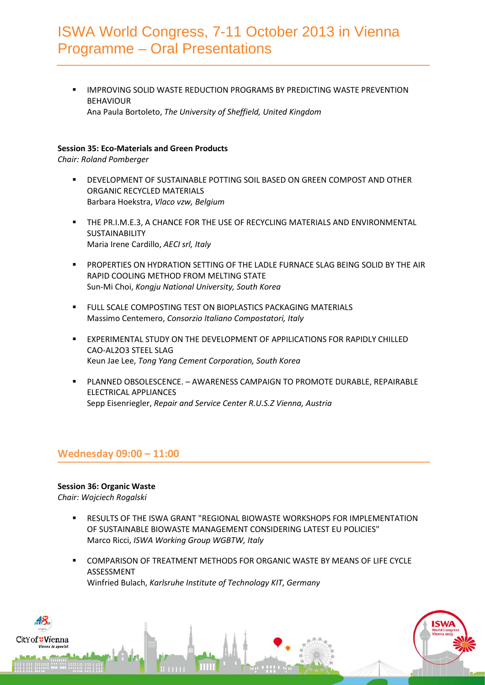IMPROVING SOLID WASTE REDUCTION PROGRAMS BY PREDICTING WASTE PREVENTION BEHAVIOUR Ana Paula Bortoleto, *The University of Sheffield, United Kingdom*

## **Session 35: Eco-Materials and Green Products**

*Chair: Roland Pomberger*

- **EXECUTE DEVELOPMENT OF SUSTAINABLE POTTING SOIL BASED ON GREEN COMPOST AND OTHER** ORGANIC RECYCLED MATERIALS Barbara Hoekstra, *Vlaco vzw, Belgium*
- THE PR.I.M.E.3, A CHANCE FOR THE USE OF RECYCLING MATERIALS AND ENVIRONMENTAL SUSTAINABILITY Maria Irene Cardillo, *AECI srl, Italy*
- PROPERTIES ON HYDRATION SETTING OF THE LADLE FURNACE SLAG BEING SOLID BY THE AIR RAPID COOLING METHOD FROM MELTING STATE Sun-Mi Choi, *Kongju National University, South Korea*
- **FULL SCALE COMPOSTING TEST ON BIOPLASTICS PACKAGING MATERIALS** Massimo Centemero, *Consorzio Italiano Compostatori, Italy*
- **EXPERIMENTAL STUDY ON THE DEVELOPMENT OF APPILICATIONS FOR RAPIDLY CHILLED** CAO-AL2O3 STEEL SLAG Keun Jae Lee, *Tong Yang Cement Corporation, South Korea*
- PLANNED OBSOLESCENCE. AWARENESS CAMPAIGN TO PROMOTE DURABLE, REPAIRABLE ELECTRICAL APPLIANCES Sepp Eisenriegler, *Repair and Service Center R.U.S.Z Vienna, Austria*

## **Wednesday 09:00 – 11:00**

## **Session 36: Organic Waste**

*Chair: Wojciech Rogalski*

tYof#Vienna

- **EXECULTS OF THE ISWA GRANT "REGIONAL BIOWASTE WORKSHOPS FOR IMPLEMENTATION** OF SUSTAINABLE BIOWASTE MANAGEMENT CONSIDERING LATEST EU POLICIES" Marco Ricci, *ISWA Working Group WGBTW, Italy*
- COMPARISON OF TREATMENT METHODS FOR ORGANIC WASTE BY MEANS OF LIFE CYCLE ASSESSMENT Winfried Bulach, *Karlsruhe Institute of Technology KIT, Germany*

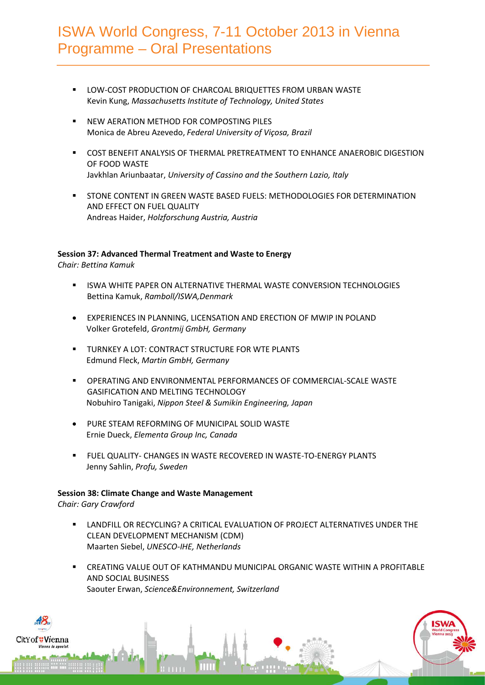- LOW-COST PRODUCTION OF CHARCOAL BRIQUETTES FROM URBAN WASTE Kevin Kung, *Massachusetts Institute of Technology, United States*
- **NEW AERATION METHOD FOR COMPOSTING PILES** Monica de Abreu Azevedo, *Federal University of Viçosa, Brazil*
- COST BENEFIT ANALYSIS OF THERMAL PRETREATMENT TO ENHANCE ANAEROBIC DIGESTION OF FOOD WASTE Javkhlan Ariunbaatar, *University of Cassino and the Southern Lazio, Italy*
- **STONE CONTENT IN GREEN WASTE BASED FUELS: METHODOLOGIES FOR DETERMINATION** AND EFFECT ON FUEL QUALITY Andreas Haider, *Holzforschung Austria, Austria*

## **Session 37: Advanced Thermal Treatment and Waste to Energy**

*Chair: Bettina Kamuk*

- **ISWA WHITE PAPER ON ALTERNATIVE THERMAL WASTE CONVERSION TECHNOLOGIES** Bettina Kamuk, *Ramboll/ISWA,Denmark*
- EXPERIENCES IN PLANNING, LICENSATION AND ERECTION OF MWIP IN POLAND Volker Grotefeld, *Grontmij GmbH, Germany*
- **TURNKEY A LOT: CONTRACT STRUCTURE FOR WTE PLANTS** Edmund Fleck, *Martin GmbH, Germany*
- OPERATING AND ENVIRONMENTAL PERFORMANCES OF COMMERCIAL-SCALE WASTE GASIFICATION AND MELTING TECHNOLOGY Nobuhiro Tanigaki, *Nippon Steel & Sumikin Engineering, Japan*
- PURE STEAM REFORMING OF MUNICIPAL SOLID WASTE Ernie Dueck, *Elementa Group Inc, Canada*
- FUEL QUALITY- CHANGES IN WASTE RECOVERED IN WASTE-TO-ENERGY PLANTS Jenny Sahlin, *Profu, Sweden*

## **Session 38: Climate Change and Waste Management**

*Chair: Gary Crawford*

- **LANDFILL OR RECYCLING? A CRITICAL EVALUATION OF PROJECT ALTERNATIVES UNDER THE** CLEAN DEVELOPMENT MECHANISM (CDM) Maarten Siebel, *UNESCO-IHE, Netherlands*
- CREATING VALUE OUT OF KATHMANDU MUNICIPAL ORGANIC WASTE WITHIN A PROFITABLE AND SOCIAL BUSINESS Saouter Erwan, *Science&Environnement, Switzerland*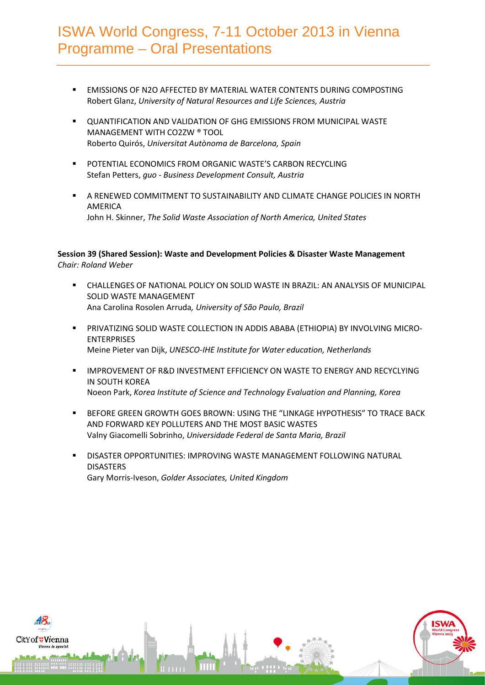- EMISSIONS OF N2O AFFECTED BY MATERIAL WATER CONTENTS DURING COMPOSTING Robert Glanz, *University of Natural Resources and Life Sciences, Austria*
- **DUANTIFICATION AND VALIDATION OF GHG EMISSIONS FROM MUNICIPAL WASTE** MANAGEMENT WITH CO2ZW ® TOOL Roberto Quirós, *Universitat Autònoma de Barcelona, Spain*
- **POTENTIAL ECONOMICS FROM ORGANIC WASTE'S CARBON RECYCLING** Stefan Petters, *guo - Business Development Consult, Austria*
- A RENEWED COMMITMENT TO SUSTAINABILITY AND CLIMATE CHANGE POLICIES IN NORTH AMERICA John H. Skinner, *The Solid Waste Association of North America, United States*

## **Session 39 (Shared Session): Waste and Development Policies & Disaster Waste Management** *Chair: Roland Weber*

- CHALLENGES OF NATIONAL POLICY ON SOLID WASTE IN BRAZIL: AN ANALYSIS OF MUNICIPAL SOLID WASTE MANAGEMENT Ana Carolina Rosolen Arruda*, University of São Paulo, Brazil*
- PRIVATIZING SOLID WASTE COLLECTION IN ADDIS ABABA (ETHIOPIA) BY INVOLVING MICRO-ENTERPRISES Meine Pieter van Dijk, *UNESCO-IHE Institute for Water education, Netherlands*
- IMPROVEMENT OF R&D INVESTMENT EFFICIENCY ON WASTE TO ENERGY AND RECYCLYING IN SOUTH KOREA Noeon Park, *Korea Institute of Science and Technology Evaluation and Planning, Korea*
- BEFORE GREEN GROWTH GOES BROWN: USING THE "LINKAGE HYPOTHESIS" TO TRACE BACK AND FORWARD KEY POLLUTERS AND THE MOST BASIC WASTES Valny Giacomelli Sobrinho, *Universidade Federal de Santa Maria, Brazil*
- DISASTER OPPORTUNITIES: IMPROVING WASTE MANAGEMENT FOLLOWING NATURAL DISASTERS Gary Morris-Iveson, *Golder Associates, United Kingdom*

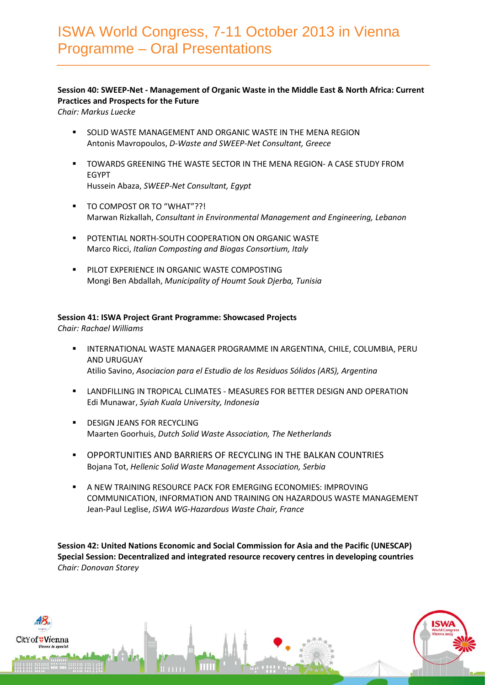## **Session 40: SWEEP-Net - Management of Organic Waste in the Middle East & North Africa: Current Practices and Prospects for the Future**

*Chair: Markus Luecke*

- **SOLID WASTE MANAGEMENT AND ORGANIC WASTE IN THE MENA REGION** Antonis Mavropoulos, *D-Waste and SWEEP-Net Consultant, Greece*
- TOWARDS GREENING THE WASTE SECTOR IN THE MENA REGION- A CASE STUDY FROM EGYPT Hussein Abaza, *SWEEP-Net Consultant, Egypt*
- TO COMPOST OR TO "WHAT"??! Marwan Rizkallah, *Consultant in Environmental Management and Engineering, Lebanon*
- **POTENTIAL NORTH-SOUTH COOPERATION ON ORGANIC WASTE** Marco Ricci, *Italian Composting and Biogas Consortium, Italy*
- **PILOT EXPERIENCE IN ORGANIC WASTE COMPOSTING** Mongi Ben Abdallah, *Municipality of Houmt Souk Djerba, Tunisia*

### **Session 41: ISWA Project Grant Programme: Showcased Projects**

*Chair: Rachael Williams*

tYof<mark>#Vien</mark>na

- INTERNATIONAL WASTE MANAGER PROGRAMME IN ARGENTINA, CHILE, COLUMBIA, PERU AND URUGUAY Atilio Savino, *Asociacion para el Estudio de los Residuos Sólidos (ARS), Argentina*
- **LANDFILLING IN TROPICAL CLIMATES MEASURES FOR BETTER DESIGN AND OPERATION** Edi Munawar, *Syiah Kuala University, Indonesia*
- DESIGN JEANS FOR RECYCLING Maarten Goorhuis, *Dutch Solid Waste Association, The Netherlands*
- OPPORTUNITIES AND BARRIERS OF RECYCLING IN THE BALKAN COUNTRIES Bojana Tot, *Hellenic Solid Waste Management Association, Serbia*
- A NEW TRAINING RESOURCE PACK FOR EMERGING ECONOMIES: IMPROVING COMMUNICATION, INFORMATION AND TRAINING ON HAZARDOUS WASTE MANAGEMENT Jean-Paul Leglise, *ISWA WG-Hazardous Waste Chair, France*

**Session 42: United Nations Economic and Social Commission for Asia and the Pacific (UNESCAP) Special Session: Decentralized and integrated resource recovery centres in developing countries** *Chair: Donovan Storey*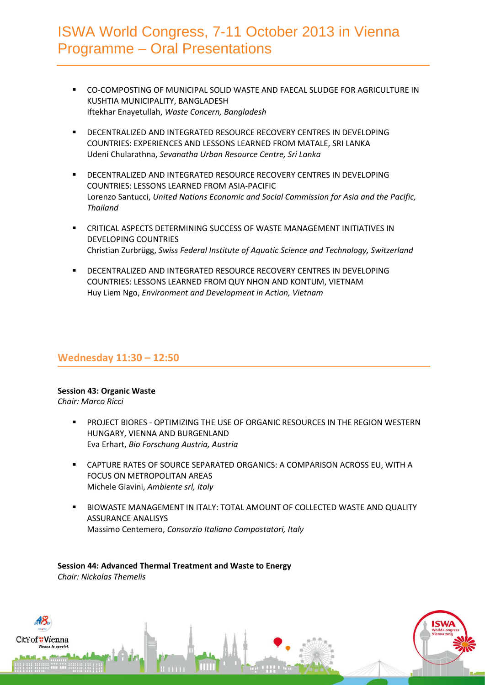- CO-COMPOSTING OF MUNICIPAL SOLID WASTE AND FAECAL SLUDGE FOR AGRICULTURE IN KUSHTIA MUNICIPALITY, BANGLADESH Iftekhar Enayetullah, *Waste Concern, Bangladesh*
- **DECENTRALIZED AND INTEGRATED RESOURCE RECOVERY CENTRES IN DEVELOPING** COUNTRIES: EXPERIENCES AND LESSONS LEARNED FROM MATALE, SRI LANKA Udeni Chularathna, *Sevanatha Urban Resource Centre, Sri Lanka*
- **DECENTRALIZED AND INTEGRATED RESOURCE RECOVERY CENTRES IN DEVELOPING** COUNTRIES: LESSONS LEARNED FROM ASIA-PACIFIC Lorenzo Santucci, *United Nations Economic and Social Commission for Asia and the Pacific, Thailand*
- CRITICAL ASPECTS DETERMINING SUCCESS OF WASTE MANAGEMENT INITIATIVES IN DEVELOPING COUNTRIES Christian Zurbrügg, *Swiss Federal Institute of Aquatic Science and Technology, Switzerland*
- DECENTRALIZED AND INTEGRATED RESOURCE RECOVERY CENTRES IN DEVELOPING COUNTRIES: LESSONS LEARNED FROM QUY NHON AND KONTUM, VIETNAM Huy Liem Ngo, *Environment and Development in Action, Vietnam*

# **Wednesday 11:30 – 12:50**

## **Session 43: Organic Waste**

*Chair: Marco Ricci*

tYof<mark>#Vien</mark>na

- **PROJECT BIORES OPTIMIZING THE USE OF ORGANIC RESOURCES IN THE REGION WESTERN** HUNGARY, VIENNA AND BURGENLAND Eva Erhart, *Bio Forschung Austria, Austria*
- CAPTURE RATES OF SOURCE SEPARATED ORGANICS: A COMPARISON ACROSS EU, WITH A FOCUS ON METROPOLITAN AREAS Michele Giavini, *Ambiente srl, Italy*
- BIOWASTE MANAGEMENT IN ITALY: TOTAL AMOUNT OF COLLECTED WASTE AND QUALITY ASSURANCE ANALISYS Massimo Centemero, *Consorzio Italiano Compostatori, Italy*

**Session 44: Advanced Thermal Treatment and Waste to Energy** *Chair: Nickolas Themelis*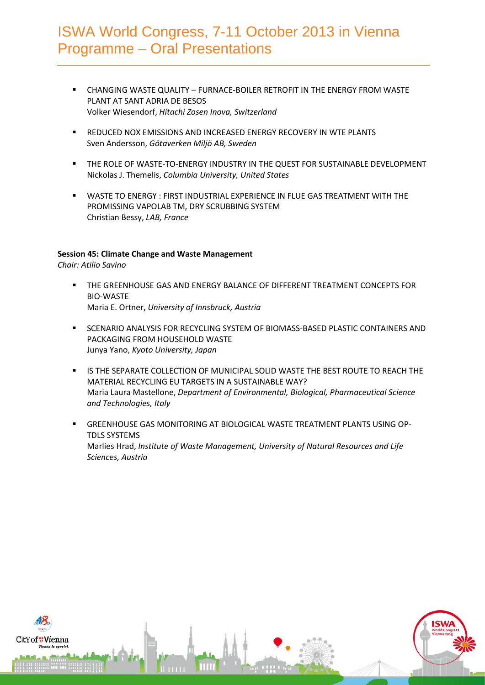- CHANGING WASTE QUALITY FURNACE-BOILER RETROFIT IN THE ENERGY FROM WASTE PLANT AT SANT ADRIA DE BESOS Volker Wiesendorf, *Hitachi Zosen Inova, Switzerland*
- **REDUCED NOX EMISSIONS AND INCREASED ENERGY RECOVERY IN WTE PLANTS** Sven Andersson, *Götaverken Miljö AB, Sweden*
- THE ROLE OF WASTE-TO-ENERGY INDUSTRY IN THE QUEST FOR SUSTAINABLE DEVELOPMENT Nickolas J. Themelis, *Columbia University, United States*
- WASTE TO ENERGY : FIRST INDUSTRIAL EXPERIENCE IN FLUE GAS TREATMENT WITH THE PROMISSING VAPOLAB TM, DRY SCRUBBING SYSTEM Christian Bessy, *LAB, France*

### **Session 45: Climate Change and Waste Management**

*Chair: Atilio Savino*

- THE GREENHOUSE GAS AND ENERGY BALANCE OF DIFFERENT TREATMENT CONCEPTS FOR BIO-WASTE Maria E. Ortner, *University of Innsbruck, Austria*
- **SCENARIO ANALYSIS FOR RECYCLING SYSTEM OF BIOMASS-BASED PLASTIC CONTAINERS AND** PACKAGING FROM HOUSEHOLD WASTE Junya Yano, *Kyoto University, Japan*
- **IS THE SEPARATE COLLECTION OF MUNICIPAL SOLID WASTE THE BEST ROUTE TO REACH THE** MATERIAL RECYCLING EU TARGETS IN A SUSTAINABLE WAY? Maria Laura Mastellone, *Department of Environmental, Biological, Pharmaceutical Science and Technologies, Italy*
- GREENHOUSE GAS MONITORING AT BIOLOGICAL WASTE TREATMENT PLANTS USING OP-TDLS SYSTEMS Marlies Hrad, *Institute of Waste Management, University of Natural Resources and Life Sciences, Austria*

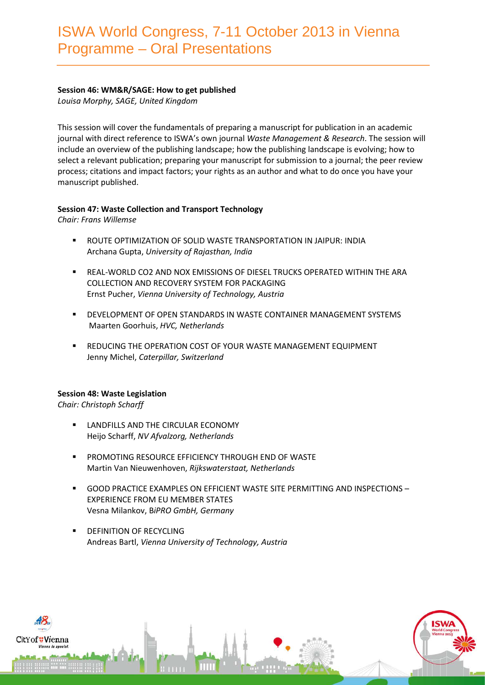## **Session 46: WM&R/SAGE: How to get published**

*Louisa Morphy, SAGE, United Kingdom*

This session will cover the fundamentals of preparing a manuscript for publication in an academic journal with direct reference to ISWA's own journal *Waste Management & Research*. The session will include an overview of the publishing landscape; how the publishing landscape is evolving; how to select a relevant publication; preparing your manuscript for submission to a journal; the peer review process; citations and impact factors; your rights as an author and what to do once you have your manuscript published.

### **Session 47: Waste Collection and Transport Technology**

*Chair: Frans Willemse*

- ROUTE OPTIMIZATION OF SOLID WASTE TRANSPORTATION IN JAIPUR: INDIA Archana Gupta, *University of Rajasthan, India*
- REAL-WORLD CO2 AND NOX EMISSIONS OF DIESEL TRUCKS OPERATED WITHIN THE ARA COLLECTION AND RECOVERY SYSTEM FOR PACKAGING Ernst Pucher, *Vienna University of Technology, Austria*
- DEVELOPMENT OF OPEN STANDARDS IN WASTE CONTAINER MANAGEMENT SYSTEMS Maarten Goorhuis, *HVC, Netherlands*
- **EXECT AT A FIGURAL EXAMPLE THE OPERATION COST OF YOUR WASTE MANAGEMENT EQUIPMENT** Jenny Michel, *Caterpillar, Switzerland*

## **Session 48: Waste Legislation**

*Chair: Christoph Scharff*

- LANDFILLS AND THE CIRCULAR ECONOMY Heijo Scharff, *NV Afvalzorg, Netherlands*
- PROMOTING RESOURCE EFFICIENCY THROUGH END OF WASTE Martin Van Nieuwenhoven, *Rijkswaterstaat, Netherlands*
- GOOD PRACTICE EXAMPLES ON EFFICIENT WASTE SITE PERMITTING AND INSPECTIONS EXPERIENCE FROM EU MEMBER STATES Vesna Milankov, B*iPRO GmbH, Germany*
- DEFINITION OF RECYCLING Andreas Bartl, *Vienna University of Technology, Austria*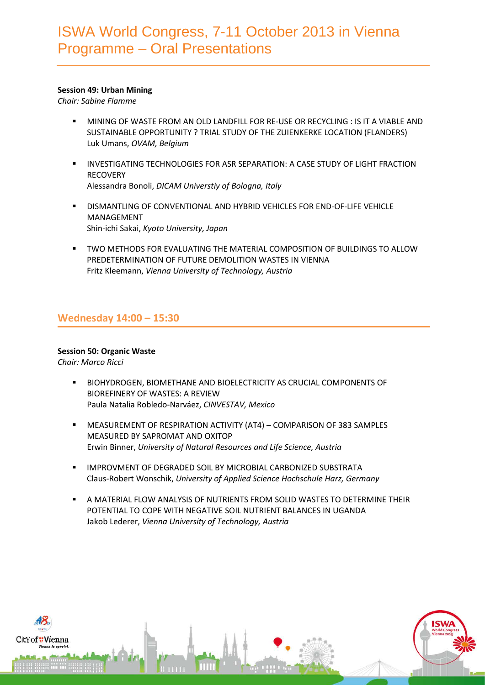## **Session 49: Urban Mining**

*Chair: Sabine Flamme*

- MINING OF WASTE FROM AN OLD LANDFILL FOR RE-USE OR RECYCLING : IS IT A VIABLE AND SUSTAINABLE OPPORTUNITY ? TRIAL STUDY OF THE ZUIENKERKE LOCATION (FLANDERS) Luk Umans, *OVAM, Belgium*
- INVESTIGATING TECHNOLOGIES FOR ASR SEPARATION: A CASE STUDY OF LIGHT FRACTION **RECOVERY** Alessandra Bonoli, *DICAM Universtiy of Bologna, Italy*
- DISMANTLING OF CONVENTIONAL AND HYBRID VEHICLES FOR END-OF-LIFE VEHICLE MANAGEMENT Shin-ichi Sakai, *Kyoto University, Japan*
- TWO METHODS FOR EVALUATING THE MATERIAL COMPOSITION OF BUILDINGS TO ALLOW PREDETERMINATION OF FUTURE DEMOLITION WASTES IN VIENNA Fritz Kleemann, *Vienna University of Technology, Austria*

# **Wednesday 14:00 – 15:30**

## **Session 50: Organic Waste**

*Chair: Marco Ricci*

- **BIOHYDROGEN, BIOMETHANE AND BIOELECTRICITY AS CRUCIAL COMPONENTS OF** BIOREFINERY OF WASTES: A REVIEW Paula Natalia Robledo-Narváez, *CINVESTAV, Mexico*
- MEASUREMENT OF RESPIRATION ACTIVITY (AT4) COMPARISON OF 383 SAMPLES MEASURED BY SAPROMAT AND OXITOP Erwin Binner, *University of Natural Resources and Life Science, Austria*
- IMPROVMENT OF DEGRADED SOIL BY MICROBIAL CARBONIZED SUBSTRATA Claus-Robert Wonschik, *University of Applied Science Hochschule Harz, Germany*
- A MATERIAL FLOW ANALYSIS OF NUTRIENTS FROM SOLID WASTES TO DETERMINE THEIR POTENTIAL TO COPE WITH NEGATIVE SOIL NUTRIENT BALANCES IN UGANDA Jakob Lederer, *Vienna University of Technology, Austria*

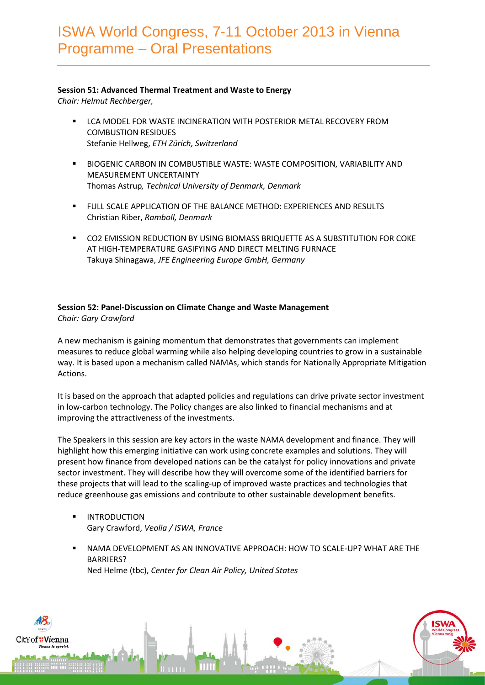### **Session 51: Advanced Thermal Treatment and Waste to Energy**

*Chair: Helmut Rechberger,* 

- **EXECT ALCO MODEL FOR WASTE INCINERATION WITH POSTERIOR METAL RECOVERY FROM** COMBUSTION RESIDUES Stefanie Hellweg, *ETH Zürich, Switzerland*
- BIOGENIC CARBON IN COMBUSTIBLE WASTE: WASTE COMPOSITION, VARIABILITY AND MEASUREMENT UNCERTAINTY Thomas Astrup*, Technical University of Denmark, Denmark*
- FULL SCALE APPLICATION OF THE BALANCE METHOD: EXPERIENCES AND RESULTS Christian Riber, *Ramboll, Denmark*
- CO2 EMISSION REDUCTION BY USING BIOMASS BRIQUETTE AS A SUBSTITUTION FOR COKE AT HIGH-TEMPERATURE GASIFYING AND DIRECT MELTING FURNACE Takuya Shinagawa, *JFE Engineering Europe GmbH, Germany*

## **Session 52: Panel-Discussion on Climate Change and Waste Management**

*Chair: Gary Crawford*

A new mechanism is gaining momentum that demonstrates that governments can implement measures to reduce global warming while also helping developing countries to grow in a sustainable way. It is based upon a mechanism called NAMAs, which stands for Nationally Appropriate Mitigation Actions.

It is based on the approach that adapted policies and regulations can drive private sector investment in low-carbon technology. The Policy changes are also linked to financial mechanisms and at improving the attractiveness of the investments.

The Speakers in this session are key actors in the waste NAMA development and finance. They will highlight how this emerging initiative can work using concrete examples and solutions. They will present how finance from developed nations can be the catalyst for policy innovations and private sector investment. They will describe how they will overcome some of the identified barriers for these projects that will lead to the scaling-up of improved waste practices and technologies that reduce greenhouse gas emissions and contribute to other sustainable development benefits.

- INTRODUCTION Gary Crawford, *Veolia / ISWA, France*
- NAMA DEVELOPMENT AS AN INNOVATIVE APPROACH: HOW TO SCALE-UP? WHAT ARE THE BARRIERS? Ned Helme (tbc), *Center for Clean Air Policy, United States*

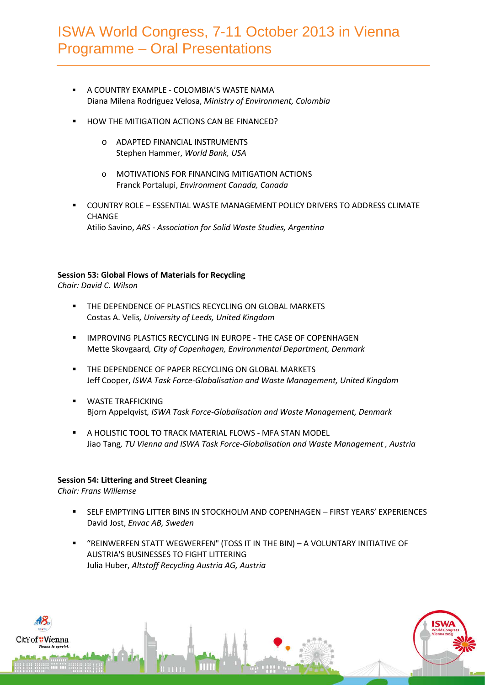- A COUNTRY EXAMPLE COLOMBIA'S WASTE NAMA Diana Milena Rodriguez Velosa, *Ministry of Environment, Colombia*
- HOW THE MITIGATION ACTIONS CAN BE FINANCED?
	- o ADAPTED FINANCIAL INSTRUMENTS Stephen Hammer, *World Bank, USA*
	- o MOTIVATIONS FOR FINANCING MITIGATION ACTIONS Franck Portalupi, *Environment Canada, Canada*
- COUNTRY ROLE ESSENTIAL WASTE MANAGEMENT POLICY DRIVERS TO ADDRESS CLIMATE CHANGE Atilio Savino, *ARS - Association for Solid Waste Studies, Argentina*

## **Session 53: Global Flows of Materials for Recycling**

*Chair: David C. Wilson*

- **THE DEPENDENCE OF PLASTICS RECYCLING ON GLOBAL MARKETS** Costas A. Velis*, University of Leeds, United Kingdom*
- **IMPROVING PLASTICS RECYCLING IN EUROPE THE CASE OF COPENHAGEN** Mette Skovgaard*, City of Copenhagen, Environmental Department, Denmark*
- **THE DEPENDENCE OF PAPER RECYCLING ON GLOBAL MARKETS** Jeff Cooper, *ISWA Task Force-Globalisation and Waste Management, United Kingdom*
- **WASTE TRAFFICKING** Bjorn Appelqvist*, ISWA Task Force-Globalisation and Waste Management, Denmark*
- A HOLISTIC TOOL TO TRACK MATERIAL FLOWS MFA STAN MODEL Jiao Tang*, TU Vienna and ISWA Task Force-Globalisation and Waste Management , Austria*

## **Session 54: Littering and Street Cleaning**

*Chair: Frans Willemse*

- SELF EMPTYING LITTER BINS IN STOCKHOLM AND COPENHAGEN FIRST YEARS' EXPERIENCES David Jost, *Envac AB, Sweden*
- "REINWERFEN STATT WEGWERFEN" (TOSS IT IN THE BIN) A VOLUNTARY INITIATIVE OF AUSTRIA'S BUSINESSES TO FIGHT LITTERING Julia Huber, *Altstoff Recycling Austria AG, Austria*